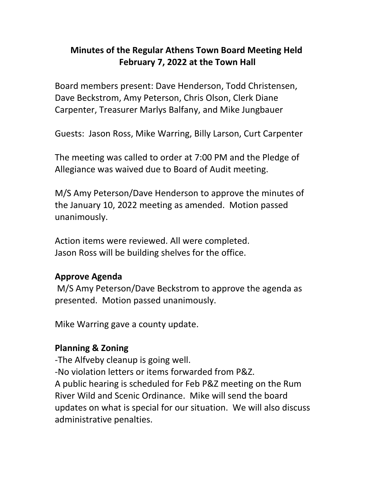# **Minutes of the Regular Athens Town Board Meeting Held February 7, 2022 at the Town Hall**

Board members present: Dave Henderson, Todd Christensen, Dave Beckstrom, Amy Peterson, Chris Olson, Clerk Diane Carpenter, Treasurer Marlys Balfany, and Mike Jungbauer

Guests: Jason Ross, Mike Warring, Billy Larson, Curt Carpenter

The meeting was called to order at 7:00 PM and the Pledge of Allegiance was waived due to Board of Audit meeting.

M/S Amy Peterson/Dave Henderson to approve the minutes of the January 10, 2022 meeting as amended. Motion passed unanimously.

Action items were reviewed. All were completed. Jason Ross will be building shelves for the office.

#### **Approve Agenda**

M/S Amy Peterson/Dave Beckstrom to approve the agenda as presented. Motion passed unanimously.

Mike Warring gave a county update.

#### **Planning & Zoning**

-The Alfveby cleanup is going well.

-No violation letters or items forwarded from P&Z.

A public hearing is scheduled for Feb P&Z meeting on the Rum River Wild and Scenic Ordinance. Mike will send the board updates on what is special for our situation. We will also discuss administrative penalties.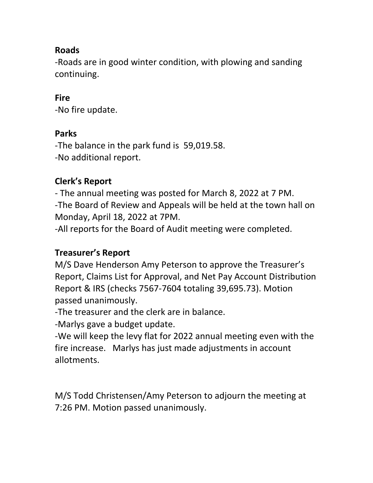## **Roads**

-Roads are in good winter condition, with plowing and sanding continuing.

#### **Fire**

-No fire update.

#### **Parks**

-The balance in the park fund is 59,019.58. -No additional report.

## **Clerk's Report**

- The annual meeting was posted for March 8, 2022 at 7 PM. -The Board of Review and Appeals will be held at the town hall on Monday, April 18, 2022 at 7PM.

-All reports for the Board of Audit meeting were completed.

#### **Treasurer's Report**

M/S Dave Henderson Amy Peterson to approve the Treasurer's Report, Claims List for Approval, and Net Pay Account Distribution Report & IRS (checks 7567-7604 totaling 39,695.73). Motion passed unanimously.

-The treasurer and the clerk are in balance.

-Marlys gave a budget update.

-We will keep the levy flat for 2022 annual meeting even with the fire increase. Marlys has just made adjustments in account allotments.

M/S Todd Christensen/Amy Peterson to adjourn the meeting at 7:26 PM. Motion passed unanimously.